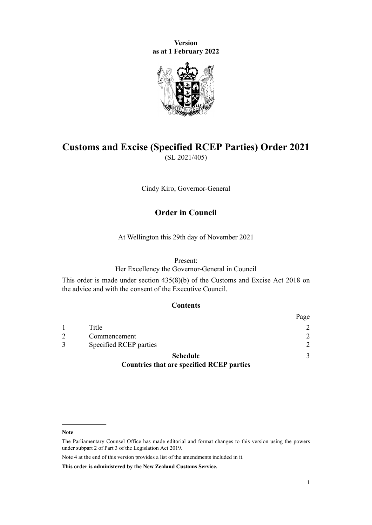**Version as at 1 February 2022**



# **Customs and Excise (Specified RCEP Parties) Order 2021** (SL 2021/405)

Cindy Kiro, Governor-General

### **Order in Council**

At Wellington this 29th day of November 2021

#### Present:

Her Excellency the Governor-General in Council

This order is made under [section 435\(8\)\(b\)](http://legislation.govt.nz/pdflink.aspx?id=DLM7039939) of the [Customs and Excise Act 2018](http://legislation.govt.nz/pdflink.aspx?id=DLM7038920) on the advice and with the consent of the Executive Council.

#### **Contents**

|                                                  | Page          |
|--------------------------------------------------|---------------|
| Title                                            | $\mathcal{D}$ |
| Commencement                                     | $\mathcal{D}$ |
| Specified RCEP parties                           | $\mathcal{D}$ |
| <b>Schedule</b>                                  | 3             |
| <b>Countries that are specified RCEP parties</b> |               |

**Note**

Note 4 at the end of this version provides a list of the amendments included in it.

**This order is administered by the New Zealand Customs Service.**

The Parliamentary Counsel Office has made editorial and format changes to this version using the powers under [subpart 2](http://legislation.govt.nz/pdflink.aspx?id=DLM7298371) of Part 3 of the Legislation Act 2019.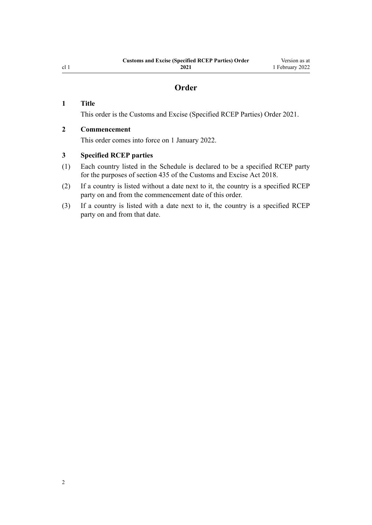### **Order**

#### <span id="page-1-0"></span>**1 Title**

This order is the Customs and Excise (Specified RCEP Parties) Order 2021.

#### **2 Commencement**

This order comes into force on 1 January 2022.

#### **3 Specified RCEP parties**

- (1) Each country listed in the [Schedule](#page-2-0) is declared to be a specified RCEP party for the purposes of [section 435](http://legislation.govt.nz/pdflink.aspx?id=DLM7039939) of the Customs and Excise Act 2018.
- (2) If a country is listed without a date next to it, the country is a specified RCEP party on and from the commencement date of this order.
- (3) If a country is listed with a date next to it, the country is a specified RCEP party on and from that date.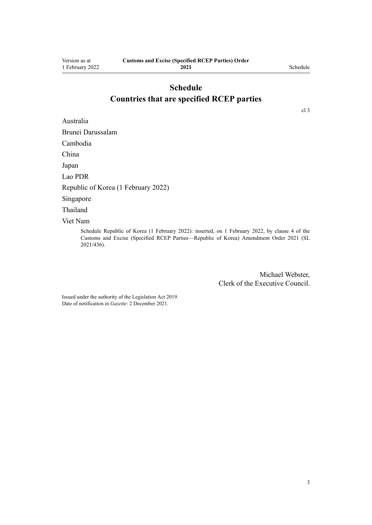# **Schedule Countries that are specified RCEP parties**

<span id="page-2-0"></span>Australia

[cl 3](#page-1-0)

Brunei Darussalam Cambodia China Japan Lao PDR Republic of Korea (1 February 2022) Singapore Thailand Viet Nam

> Schedule Republic of Korea (1 February 2022): inserted, on 1 February 2022, by [clause 4](http://legislation.govt.nz/pdflink.aspx?id=LMS620457) of the Customs and Excise (Specified RCEP Parties—Republic of Korea) Amendment Order 2021 (SL 2021/436).

> > Michael Webster, Clerk of the Executive Council.

Issued under the authority of the [Legislation Act 2019](http://legislation.govt.nz/pdflink.aspx?id=DLM7298104). Date of notification in *Gazette*: 2 December 2021.